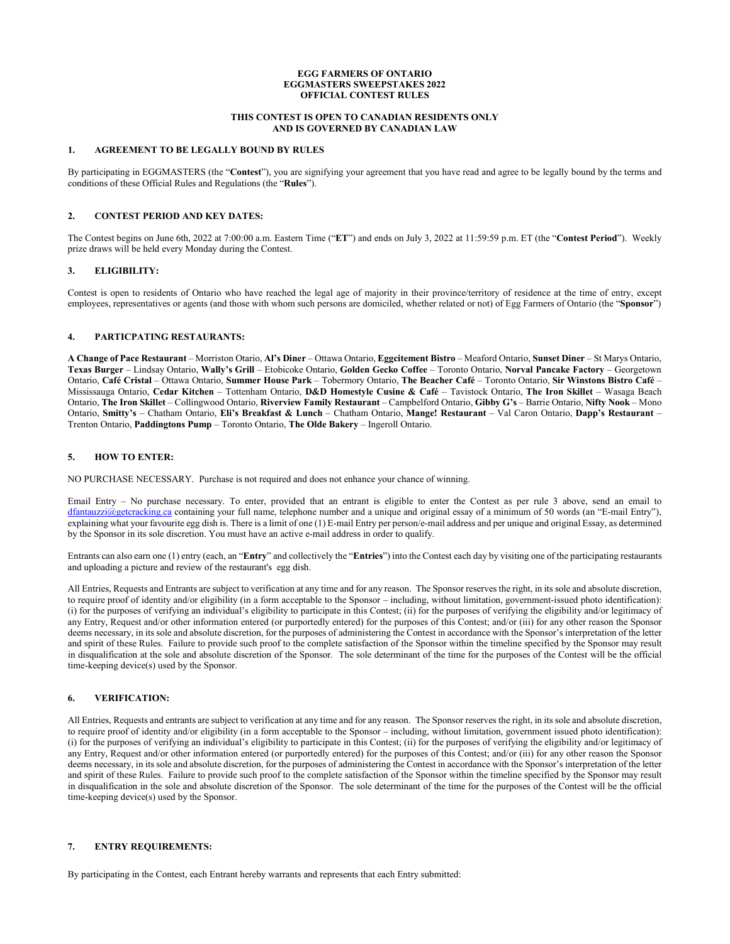#### **EGG FARMERS OF ONTARIO EGGMASTERS SWEEPSTAKES 2022 OFFICIAL CONTEST RULES**

## **THIS CONTEST IS OPEN TO CANADIAN RESIDENTS ONLY AND IS GOVERNED BY CANADIAN LAW**

#### **1. AGREEMENT TO BE LEGALLY BOUND BY RULES**

By participating in EGGMASTERS (the "**Contest**"), you are signifying your agreement that you have read and agree to be legally bound by the terms and conditions of these Official Rules and Regulations (the "**Rules**").

# **2. CONTEST PERIOD AND KEY DATES:**

The Contest begins on June 6th, 2022 at 7:00:00 a.m. Eastern Time ("**ET**") and ends on July 3, 2022 at 11:59:59 p.m. ET (the "**Contest Period**"). Weekly prize draws will be held every Monday during the Contest.

## **3. ELIGIBILITY:**

Contest is open to residents of Ontario who have reached the legal age of majority in their province/territory of residence at the time of entry, except employees, representatives or agents (and those with whom such persons are domiciled, whether related or not) of Egg Farmers of Ontario (the "**Sponsor**")

#### **4. PARTICPATING RESTAURANTS:**

**A Change of Pace Restaurant** – Morriston Otario, **Al's Diner** – Ottawa Ontario, **Eggcitement Bistro** – Meaford Ontario, **Sunset Diner** – St Marys Ontario, **Texas Burger** – Lindsay Ontario, **Wally's Grill** – Etobicoke Ontario, **Golden Gecko Coffee** – Toronto Ontario, **Norval Pancake Factory** – Georgetown Ontario, **Café Cristal** – Ottawa Ontario, **Summer House Park** – Tobermory Ontario, **The Beacher Café** – Toronto Ontario, **Sir Winstons Bistro Café** – Mississauga Ontario, **Cedar Kitchen** – Tottenham Ontario, **D&D Homestyle Cusine & Café** – Tavistock Ontario, **The Iron Skillet** – Wasaga Beach Ontario, **The Iron Skillet** – Collingwood Ontario, **Riverview Family Restaurant** – Campbelford Ontario, **Gibby G's** – Barrie Ontario, **Nifty Nook** – Mono Ontario, **Smitty's** – Chatham Ontario, **Eli's Breakfast & Lunch** – Chatham Ontario, **Mange! Restaurant** – Val Caron Ontario, **Dapp's Restaurant** – Trenton Ontario, **Paddingtons Pump** – Toronto Ontario, **The Olde Bakery** – Ingeroll Ontario.

#### **5. HOW TO ENTER:**

NO PURCHASE NECESSARY. Purchase is not required and does not enhance your chance of winning.

Email Entry – No purchase necessary. To enter, provided that an entrant is eligible to enter the Contest as per rule 3 above, send an email to [dfantauzzi@getcracking.ca](mailto:dfantauzzi@getcracking.ca) containing your full name, telephone number and a unique and original essay of a minimum of 50 words (an "E-mail Entry"), explaining what your favourite egg dish is. There is a limit of one (1) E-mail Entry per person/e-mail address and per unique and original Essay, as determined by the Sponsor in its sole discretion. You must have an active e-mail address in order to qualify.

Entrants can also earn one (1) entry (each, an "**Entry**" and collectively the "**Entries**") into the Contest each day by visiting one of the participating restaurants and uploading a picture and review of the restaurant's egg dish.

All Entries, Requests and Entrants are subject to verification at any time and for any reason. The Sponsor reserves the right, in its sole and absolute discretion, to require proof of identity and/or eligibility (in a form acceptable to the Sponsor – including, without limitation, government-issued photo identification): (i) for the purposes of verifying an individual's eligibility to participate in this Contest; (ii) for the purposes of verifying the eligibility and/or legitimacy of any Entry, Request and/or other information entered (or purportedly entered) for the purposes of this Contest; and/or (iii) for any other reason the Sponsor deems necessary, in its sole and absolute discretion, for the purposes of administering the Contest in accordance with the Sponsor's interpretation of the letter and spirit of these Rules. Failure to provide such proof to the complete satisfaction of the Sponsor within the timeline specified by the Sponsor may result in disqualification at the sole and absolute discretion of the Sponsor. The sole determinant of the time for the purposes of the Contest will be the official time-keeping device(s) used by the Sponsor.

## **6. VERIFICATION:**

All Entries, Requests and entrants are subject to verification at any time and for any reason. The Sponsor reserves the right, in its sole and absolute discretion, to require proof of identity and/or eligibility (in a form acceptable to the Sponsor – including, without limitation, government issued photo identification): (i) for the purposes of verifying an individual's eligibility to participate in this Contest; (ii) for the purposes of verifying the eligibility and/or legitimacy of any Entry, Request and/or other information entered (or purportedly entered) for the purposes of this Contest; and/or (iii) for any other reason the Sponsor deems necessary, in its sole and absolute discretion, for the purposes of administering the Contest in accordance with the Sponsor's interpretation of the letter and spirit of these Rules. Failure to provide such proof to the complete satisfaction of the Sponsor within the timeline specified by the Sponsor may result in disqualification in the sole and absolute discretion of the Sponsor. The sole determinant of the time for the purposes of the Contest will be the official time-keeping device(s) used by the Sponsor.

## **7. ENTRY REQUIREMENTS:**

By participating in the Contest, each Entrant hereby warrants and represents that each Entry submitted: